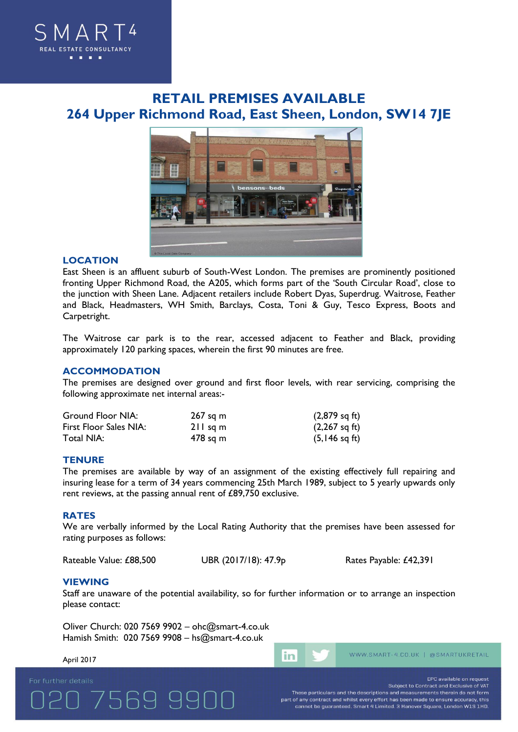

# **RETAIL PREMISES AVAILABLE 264 Upper Richmond Road, East Sheen, London, SW14 7JE**



## **LOCATION**

East Sheen is an affluent suburb of South-West London. The premises are prominently positioned fronting Upper Richmond Road, the A205, which forms part of the 'South Circular Road', close to the junction with Sheen Lane. Adjacent retailers include Robert Dyas, Superdrug. Waitrose, Feather and Black, Headmasters, WH Smith, Barclays, Costa, Toni & Guy, Tesco Express, Boots and Carpetright.

The Waitrose car park is to the rear, accessed adjacent to Feather and Black, providing approximately 120 parking spaces, wherein the first 90 minutes are free.

## **ACCOMMODATION**

The premises are designed over ground and first floor levels, with rear servicing, comprising the following approximate net internal areas:-

| Ground Floor NIA:      | $267$ sq m | $(2,879 \text{ sq ft})$ |
|------------------------|------------|-------------------------|
| First Floor Sales NIA: | $211$ sq m | $(2,267 \text{ sq ft})$ |
| Total NIA:             | 478 sq m   | $(5,146 \text{ sq ft})$ |

#### **TENURE**

The premises are available by way of an assignment of the existing effectively full repairing and insuring lease for a term of 34 years commencing 25th March 1989, subject to 5 yearly upwards only rent reviews, at the passing annual rent of £89,750 exclusive.

#### **RATES**

We are verbally informed by the Local Rating Authority that the premises have been assessed for rating purposes as follows:

Rateable Value: £88,500 UBR (2017/18): 47.9p Rates Payable: £42,391

### **VIEWING**

Staff are unaware of the potential availability, so for further information or to arrange an inspection please contact:

Oliver Church: 020 7569 9902 – ohc@smart-4.co.uk Hamish Smith: 020 7569 9908 – hs@smart-4.co.uk

7569 991

### April 2017

in

WWW.SMART-4.CO.UK | @SMARTUKRETAIL

EPC available on request

Subject to Contract and Exclusive of VAT These particulars and the descriptions and measurements therein do not form part of any contract and whilst every effort has been made to ensure accuracy, this<br>cannot be guaranteed. Smart 4 Limited. 3 Hanover Square, London W1S 1HD.